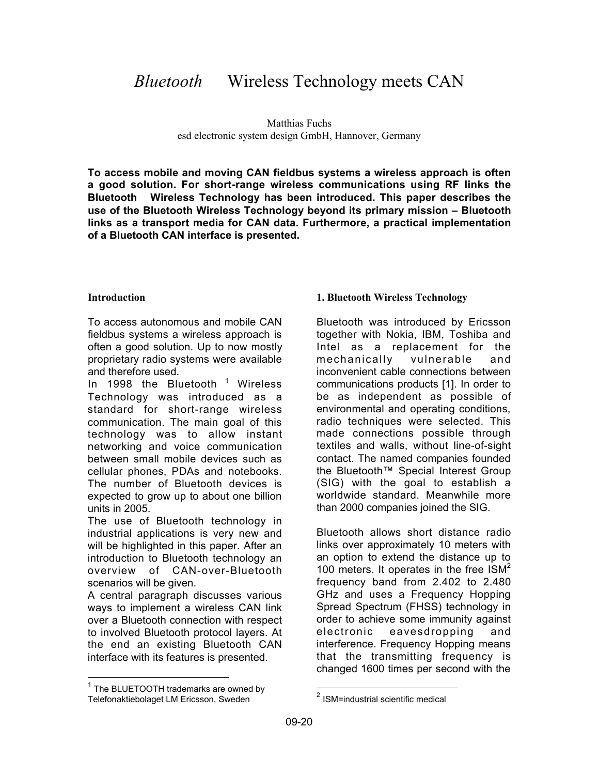# *Bluetooth*<sup>*TM*</sup> Wireless Technology meets CAN

Matthias Fuchs esd electronic system design GmbH, Hannover, Germany

**To access mobile and moving CAN fieldbus systems a wireless approach is often a good solution. For short-range wireless communications using RF links the Bluetooth Wireless Technology has been introduced. This paper describes the use of the Bluetooth Wireless Technology beyond its primary mission – Bluetooth links as a transport media for CAN data. Furthermore, a practical implementation of a Bluetooth CAN interface is presented.**

### **Introduction**

To access autonomous and mobile CAN fieldbus systems a wireless approach is often a good solution. Up to now mostly proprietary radio systems were available and therefore used.

In 1998 the Bluetooth™<sup>1</sup> Wireless Technology was introduced as a standard for short-range wireless communication. The main goal of this technology was to allow instant networking and voice communication between small mobile devices such as cellular phones, PDAs and notebooks. The number of Bluetooth devices is expected to grow up to about one billion units in 2005.

The use of Bluetooth technology in industrial applications is very new and will be highlighted in this paper. After an introduction to Bluetooth technology an overview of CAN-over-Bluetooth scenarios will be given.

A central paragraph discusses various ways to implement a wireless CAN link over a Bluetooth connection with respect to involved Bluetooth protocol layers. At the end an existing Bluetooth CAN interface with its features is presented.

 $\overline{a}$ 

### **1. Bluetooth Wireless Technology**

Bluetooth was introduced by Ericsson together with Nokia, IBM, Toshiba and Intel as a replacement for the mechanically vulnerable and inconvenient cable connections between communications products [1]. In order to be as independent as possible of environmental and operating conditions, radio techniques were selected. This made connections possible through textiles and walls, without line-of-sight contact. The named companies founded the Bluetooth™ Special Interest Group (SIG) with the goal to establish a worldwide standard. Meanwhile more than 2000 companies joined the SIG.

Bluetooth allows short distance radio links over approximately 10 meters with an option to extend the distance up to 100 meters. It operates in the free  $ISM<sup>2</sup>$ frequency band from 2.402 to 2.480 GHz and uses a Frequency Hopping Spread Spectrum (FHSS) technology in order to achieve some immunity against electronic eavesdropping and interference. Frequency Hopping means that the transmitting frequency is changed 1600 times per second with the

 $\overline{a}$ 

 $1$  The BLUETOOTH trademarks are owned by Telefonaktiebolaget LM Ericsson, Sweden

<sup>2</sup> ISM=industrial scientific medical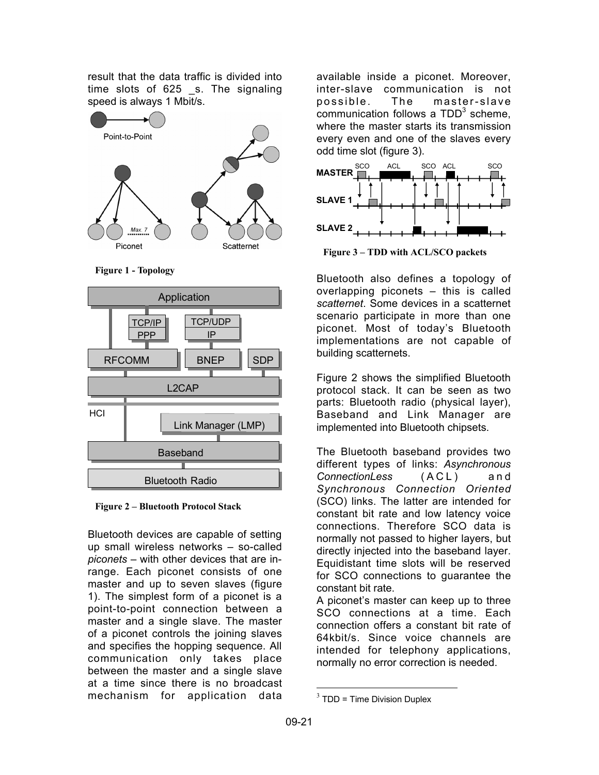result that the data traffic is divided into time slots of 625 s. The signaling speed is always 1 Mbit/s.



**Figure 1 - Topology**



**Figure 2 – Bluetooth Protocol Stack**

Bluetooth devices are capable of setting up small wireless networks – so-called *piconets* – with other devices that are inrange. Each piconet consists of one master and up to seven slaves (figure 1). The simplest form of a piconet is a point-to-point connection between a master and a single slave. The master of a piconet controls the joining slaves and specifies the hopping sequence. All communication only takes place between the master and a single slave at a time since there is no broadcast mechanism for application data

available inside a piconet. Moreover, inter-slave communication is not possible. The master-slave .<br>communication follows a TDD<sup>3</sup> scheme. where the master starts its transmission every even and one of the slaves every odd time slot (figure 3).



**Figure 3 – TDD with ACL/SCO packets**

Bluetooth also defines a topology of overlapping piconets – this is called *scatternet*. Some devices in a scatternet scenario participate in more than one piconet. Most of today's Bluetooth implementations are not capable of building scatternets.

Figure 2 shows the simplified Bluetooth protocol stack. It can be seen as two parts: Bluetooth radio (physical layer), Baseband and Link Manager are implemented into Bluetooth chipsets.

The Bluetooth baseband provides two different types of links: *Asynchronous ConnectionLess* (ACL) and *Synchronous Connection Oriented* (SCO) links. The latter are intended for constant bit rate and low latency voice connections. Therefore SCO data is normally not passed to higher layers, but directly injected into the baseband layer. Equidistant time slots will be reserved for SCO connections to guarantee the constant bit rate.

A piconet's master can keep up to three SCO connections at a time. Each connection offers a constant bit rate of 64kbit/s. Since voice channels are intended for telephony applications, normally no error correction is needed.

 $3$  TDD = Time Division Duplex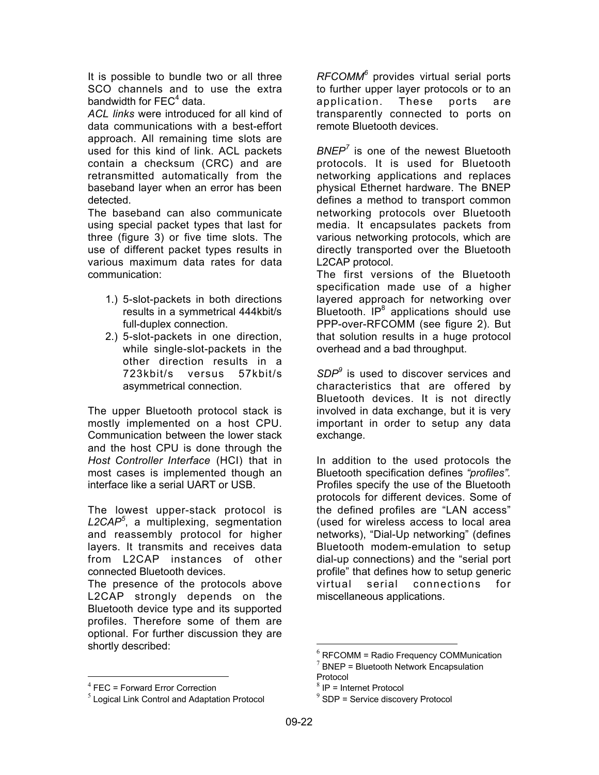It is possible to bundle two or all three SCO channels and to use the extra bandwidth for  $\text{FEC}^4$  data.

*ACL links* were introduced for all kind of data communications with a best-effort approach. All remaining time slots are used for this kind of link. ACL packets contain a checksum (CRC) and are retransmitted automatically from the baseband layer when an error has been detected.

The baseband can also communicate using special packet types that last for three (figure 3) or five time slots. The use of different packet types results in various maximum data rates for data communication:

- 1.) 5-slot-packets in both directions results in a symmetrical 444kbit/s full-duplex connection.
- 2.) 5-slot-packets in one direction, while single-slot-packets in the other direction results in a 723kbit/s versus 57kbit/s asymmetrical connection.

The upper Bluetooth protocol stack is mostly implemented on a host CPU. Communication between the lower stack and the host CPU is done through the *Host Controller Interface* (HCI) that in most cases is implemented though an interface like a serial UART or USB.

The lowest upper-stack protocol is *L2CAP<sup>5</sup>* , a multiplexing, segmentation and reassembly protocol for higher layers. It transmits and receives data from L2CAP instances of other connected Bluetooth devices.

The presence of the protocols above L2CAP strongly depends on the Bluetooth device type and its supported profiles. Therefore some of them are optional. For further discussion they are shortly described:

*RFCOMM6* provides virtual serial ports to further upper layer protocols or to an application. These ports are transparently connected to ports on remote Bluetooth devices.

*BNEP<sup>7</sup>* is one of the newest Bluetooth protocols. It is used for Bluetooth networking applications and replaces physical Ethernet hardware. The BNEP defines a method to transport common networking protocols over Bluetooth media. It encapsulates packets from various networking protocols, which are directly transported over the Bluetooth L2CAP protocol.

The first versions of the Bluetooth specification made use of a higher layered approach for networking over  $B$ luetooth.  $IP^8$  applications should use PPP-over-RFCOMM (see figure 2). But that solution results in a huge protocol overhead and a bad throughput.

*SDP<sup>9</sup>* is used to discover services and characteristics that are offered by Bluetooth devices. It is not directly involved in data exchange, but it is very important in order to setup any data exchange.

In addition to the used protocols the Bluetooth specification defines *"profiles".* Profiles specify the use of the Bluetooth protocols for different devices. Some of the defined profiles are "LAN access" (used for wireless access to local area networks), "Dial-Up networking" (defines Bluetooth modem-emulation to setup dial-up connections) and the "serial port profile" that defines how to setup generic virtual serial connections for miscellaneous applications.

 $4$  FEC = Forward Error Correction

 $<sup>5</sup>$  Logical Link Control and Adaptation Protocol</sup>

 $6$  RFCOMM = Radio Frequency COMMunication

 $7$  BNEP = Bluetooth Network Encapsulation Protocol

<sup>8</sup> IP = Internet Protocol

 $9$  SDP = Service discovery Protocol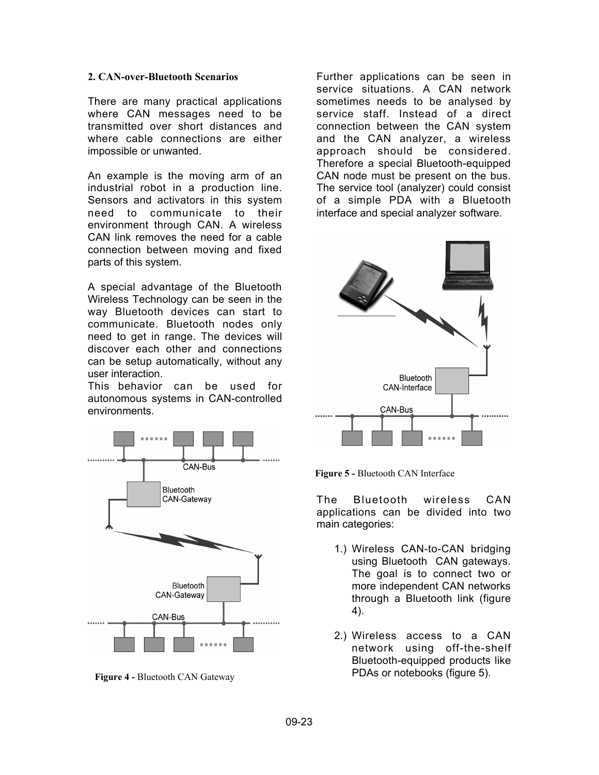### **2. CAN-over-Bluetooth Scenarios**

There are many practical applications where CAN messages need to be transmitted over short distances and where cable connections are either impossible or unwanted.

An example is the moving arm of an industrial robot in a production line. Sensors and activators in this system need to communicate to their environment through CAN. A wireless CAN link removes the need for a cable connection between moving and fixed parts of this system.

A special advantage of the Bluetooth Wireless Technology can be seen in the way Bluetooth devices can start to communicate. Bluetooth nodes only need to get in range. The devices will discover each other and connections can be setup automatically, without any user interaction.

This behavior can be used for autonomous systems in CAN-controlled environments.



**Figure 4 -** Bluetooth CAN Gateway

Further applications can be seen in service situations. A CAN network sometimes needs to be analysed by service staff. Instead of a direct connection between the CAN system and the CAN analyzer, a wireless approach should be considered. Therefore a special Bluetooth-equipped CAN node must be present on the bus. The service tool (analyzer) could consist of a simple PDA with a Bluetooth interface and special analyzer software.



**Figure 5 -** Bluetooth CAN Interface

The Bluetooth wireless CAN applications can be divided into two main categories:

- 1.) Wireless CAN-to-CAN bridging using Bluetooth CAN gateways. The goal is to connect two or more independent CAN networks through a Bluetooth link (figure 4).
- 2.) Wireless access to a CAN network using off-the-shelf Bluetooth-equipped products like PDAs or notebooks (figure 5).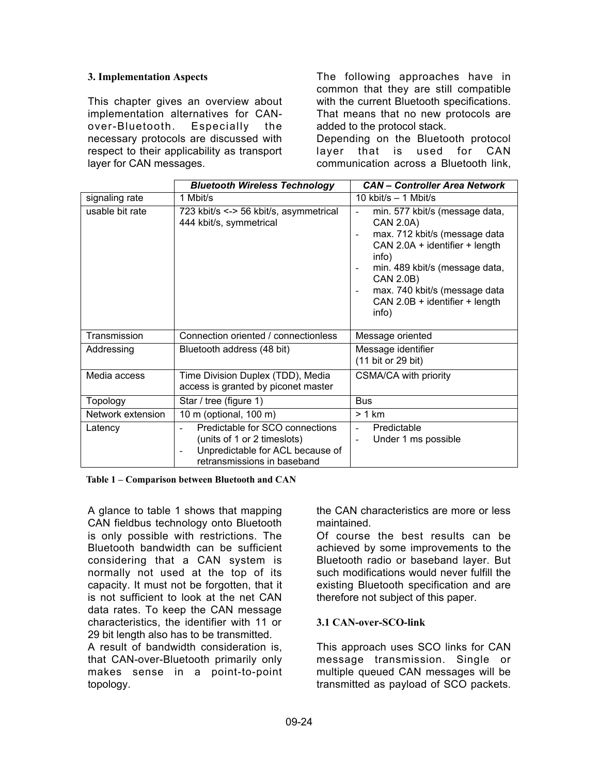### **3. Implementation Aspects**

This chapter gives an overview about implementation alternatives for CANover-Bluetooth. Especially the necessary protocols are discussed with respect to their applicability as transport layer for CAN messages.

The following approaches have in common that they are still compatible with the current Bluetooth specifications. That means that no new protocols are added to the protocol stack.

Depending on the Bluetooth protocol layer that is used for CAN communication across a Bluetooth link,

|                   | <b>Bluetooth Wireless Technology</b>                                                                                              | <b>CAN</b> – Controller Area Network                                                                                                                                                                                                                                                  |
|-------------------|-----------------------------------------------------------------------------------------------------------------------------------|---------------------------------------------------------------------------------------------------------------------------------------------------------------------------------------------------------------------------------------------------------------------------------------|
| signaling rate    | 1 Mbit/s                                                                                                                          | 10 kbit/s $-$ 1 Mbit/s                                                                                                                                                                                                                                                                |
| usable bit rate   | 723 kbit/s <-> 56 kbit/s, asymmetrical<br>444 kbit/s, symmetrical                                                                 | min. 577 kbit/s (message data,<br><b>CAN 2.0A)</b><br>max. 712 kbit/s (message data<br>$\overline{\phantom{0}}$<br>CAN 2.0A + identifier + length<br>info)<br>min. 489 kbit/s (message data,<br>CAN 2.0B)<br>max. 740 kbit/s (message data<br>CAN 2.0B + identifier + length<br>info) |
| Transmission      | Connection oriented / connectionless                                                                                              | Message oriented                                                                                                                                                                                                                                                                      |
| Addressing        | Bluetooth address (48 bit)                                                                                                        | Message identifier<br>(11 bit or 29 bit)                                                                                                                                                                                                                                              |
| Media access      | Time Division Duplex (TDD), Media<br>access is granted by piconet master                                                          | <b>CSMA/CA with priority</b>                                                                                                                                                                                                                                                          |
| Topology          | Star / tree (figure 1)                                                                                                            | <b>Bus</b>                                                                                                                                                                                                                                                                            |
| Network extension | 10 m (optional, 100 m)                                                                                                            | > 1 km                                                                                                                                                                                                                                                                                |
| Latency           | Predictable for SCO connections<br>(units of 1 or 2 timeslots)<br>Unpredictable for ACL because of<br>retransmissions in baseband | Predictable<br>Under 1 ms possible                                                                                                                                                                                                                                                    |

**Table 1 – Comparison between Bluetooth and CAN**

A glance to table 1 shows that mapping CAN fieldbus technology onto Bluetooth is only possible with restrictions. The Bluetooth bandwidth can be sufficient considering that a CAN system is normally not used at the top of its capacity. It must not be forgotten, that it is not sufficient to look at the net CAN data rates. To keep the CAN message characteristics, the identifier with 11 or 29 bit length also has to be transmitted.

A result of bandwidth consideration is, that CAN-over-Bluetooth primarily only makes sense in a point-to-point topology.

the CAN characteristics are more or less maintained.

Of course the best results can be achieved by some improvements to the Bluetooth radio or baseband layer. But such modifications would never fulfill the existing Bluetooth specification and are therefore not subject of this paper.

### **3.1 CAN-over-SCO-link**

This approach uses SCO links for CAN message transmission. Single or multiple queued CAN messages will be transmitted as payload of SCO packets.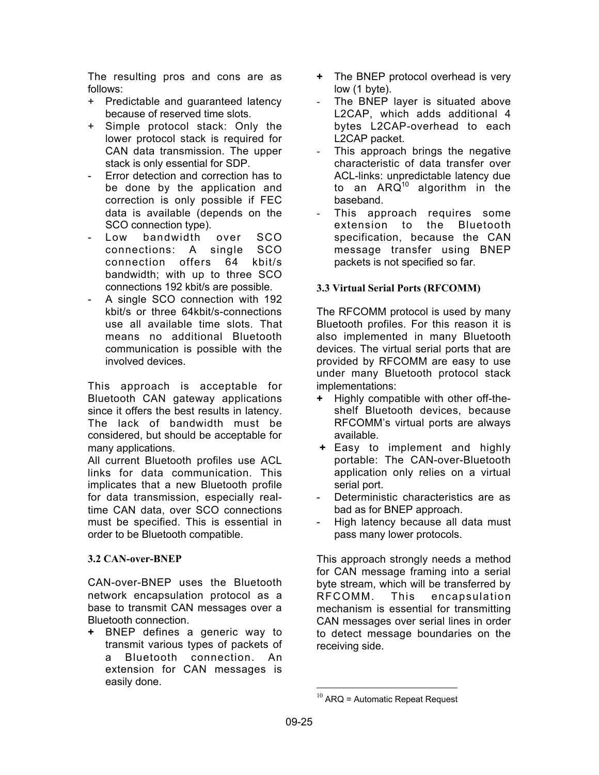The resulting pros and cons are as follows:

- + Predictable and guaranteed latency because of reserved time slots.
- + Simple protocol stack: Only the lower protocol stack is required for CAN data transmission. The upper stack is only essential for SDP.
- Error detection and correction has to be done by the application and correction is only possible if FEC data is available (depends on the SCO connection type).
- Low bandwidth over SCO connections: A single SCO connection offers 64 kbit/s bandwidth; with up to three SCO connections 192 kbit/s are possible.
- A single SCO connection with 192 kbit/s or three 64kbit/s-connections use all available time slots. That means no additional Bluetooth communication is possible with the involved devices.

This approach is acceptable for Bluetooth CAN gateway applications since it offers the best results in latency. The lack of bandwidth must be considered, but should be acceptable for many applications.

All current Bluetooth profiles use ACL links for data communication. This implicates that a new Bluetooth profile for data transmission, especially realtime CAN data, over SCO connections must be specified. This is essential in order to be Bluetooth compatible.

### **3.2 CAN-over-BNEP**

CAN-over-BNEP uses the Bluetooth network encapsulation protocol as a base to transmit CAN messages over a Bluetooth connection.

**+** BNEP defines a generic way to transmit various types of packets of a Bluetooth connection. An extension for CAN messages is easily done.

- **+** The BNEP protocol overhead is very low (1 byte).
- The BNEP layer is situated above L2CAP, which adds additional 4 bytes L2CAP-overhead to each L2CAP packet.
- This approach brings the negative characteristic of data transfer over ACL-links: unpredictable latency due to an  $ARQ^{10}$  algorithm in the baseband.
- This approach requires some extension to the Bluetooth specification, because the CAN message transfer using BNEP packets is not specified so far.

## **3.3 Virtual Serial Ports (RFCOMM)**

The RFCOMM protocol is used by many Bluetooth profiles. For this reason it is also implemented in many Bluetooth devices. The virtual serial ports that are provided by RFCOMM are easy to use under many Bluetooth protocol stack implementations:

- **+** Highly compatible with other off-theshelf Bluetooth devices, because RFCOMM's virtual ports are always available.
- **+** Easy to implement and highly portable: The CAN-over-Bluetooth application only relies on a virtual serial port.
- Deterministic characteristics are as bad as for BNEP approach.
- High latency because all data must pass many lower protocols.

This approach strongly needs a method for CAN message framing into a serial byte stream, which will be transferred by RFCOMM. This encapsulation mechanism is essential for transmitting CAN messages over serial lines in order to detect message boundaries on the receiving side.

 $10$  ARQ = Automatic Repeat Request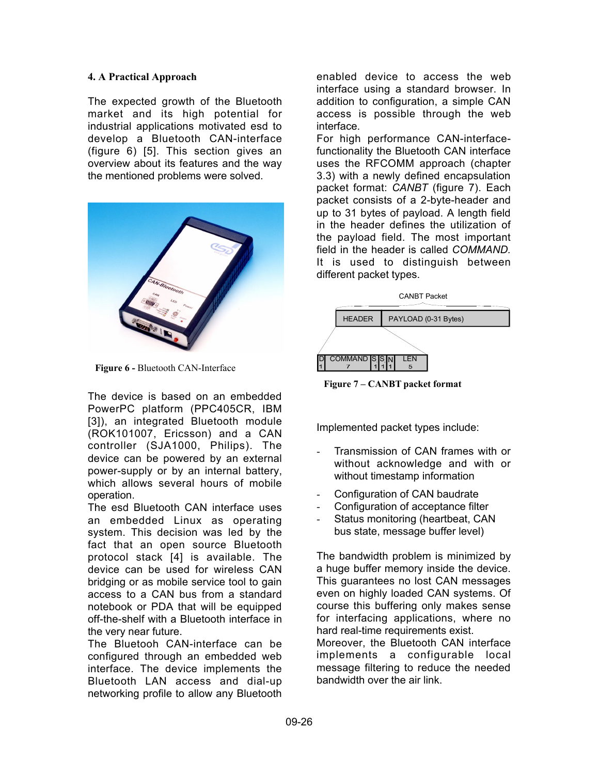### **4. A Practical Approach**

The expected growth of the Bluetooth market and its high potential for industrial applications motivated esd to develop a Bluetooth CAN-interface (figure 6) [5]. This section gives an overview about its features and the way the mentioned problems were solved.



**Figure 6 -** Bluetooth CAN-Interface

The device is based on an embedded PowerPC platform (PPC405CR, IBM [3]), an integrated Bluetooth module (ROK101007, Ericsson) and a CAN controller (SJA1000, Philips). The device can be powered by an external power-supply or by an internal battery, which allows several hours of mobile operation.

The esd Bluetooth CAN interface uses an embedded Linux as operating system. This decision was led by the fact that an open source Bluetooth protocol stack [4] is available. The device can be used for wireless CAN bridging or as mobile service tool to gain access to a CAN bus from a standard notebook or PDA that will be equipped off-the-shelf with a Bluetooth interface in the very near future.

The Bluetooh CAN-interface can be configured through an embedded web interface. The device implements the Bluetooth LAN access and dial-up networking profile to allow any Bluetooth

enabled device to access the web interface using a standard browser. In addition to configuration, a simple CAN access is possible through the web interface.

For high performance CAN-interfacefunctionality the Bluetooth CAN interface uses the RFCOMM approach (chapter 3.3) with a newly defined encapsulation packet format: *CANBT* (figure 7). Each packet consists of a 2-byte-header and up to 31 bytes of payload. A length field in the header defines the utilization of the payload field. The most important field in the header is called *COMMAND.* It is used to distinguish between different packet types.



 **Figure 7 – CANBT packet format**

Implemented packet types include:

- Transmission of CAN frames with or without acknowledge and with or without timestamp information
- Configuration of CAN baudrate
- Configuration of acceptance filter
- Status monitoring (heartbeat, CAN bus state, message buffer level)

The bandwidth problem is minimized by a huge buffer memory inside the device. This guarantees no lost CAN messages even on highly loaded CAN systems. Of course this buffering only makes sense for interfacing applications, where no hard real-time requirements exist. Moreover, the Bluetooth CAN interface implements a configurable local message filtering to reduce the needed bandwidth over the air link.